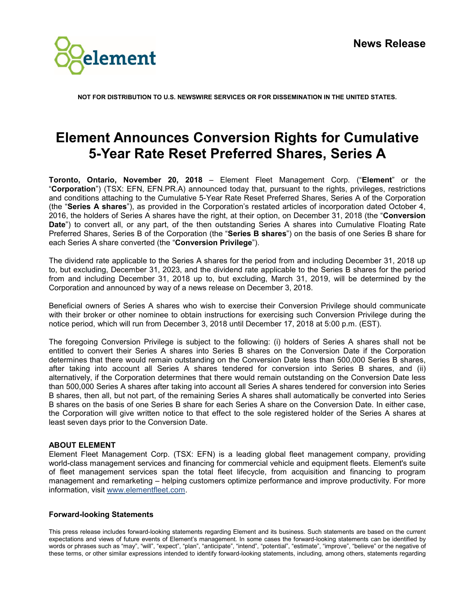

**NOT FOR DISTRIBUTION TO U.S. NEWSWIRE SERVICES OR FOR DISSEMINATION IN THE UNITED STATES.**

## **Element Announces Conversion Rights for Cumulative 5-Year Rate Reset Preferred Shares, Series A**

**Toronto, Ontario, November 20, 2018** – Element Fleet Management Corp. ("**Element**" or the "**Corporation**") (TSX: EFN, EFN.PR.A) announced today that, pursuant to the rights, privileges, restrictions and conditions attaching to the Cumulative 5-Year Rate Reset Preferred Shares, Series A of the Corporation (the "**Series A shares**"), as provided in the Corporation's restated articles of incorporation dated October 4, 2016, the holders of Series A shares have the right, at their option, on December 31, 2018 (the "**Conversion Date**") to convert all, or any part, of the then outstanding Series A shares into Cumulative Floating Rate Preferred Shares, Series B of the Corporation (the "**Series B shares**") on the basis of one Series B share for each Series A share converted (the "**Conversion Privilege**").

The dividend rate applicable to the Series A shares for the period from and including December 31, 2018 up to, but excluding, December 31, 2023, and the dividend rate applicable to the Series B shares for the period from and including December 31, 2018 up to, but excluding, March 31, 2019, will be determined by the Corporation and announced by way of a news release on December 3, 2018.

Beneficial owners of Series A shares who wish to exercise their Conversion Privilege should communicate with their broker or other nominee to obtain instructions for exercising such Conversion Privilege during the notice period, which will run from December 3, 2018 until December 17, 2018 at 5:00 p.m. (EST).

The foregoing Conversion Privilege is subject to the following: (i) holders of Series A shares shall not be entitled to convert their Series A shares into Series B shares on the Conversion Date if the Corporation determines that there would remain outstanding on the Conversion Date less than 500,000 Series B shares, after taking into account all Series A shares tendered for conversion into Series B shares, and (ii) alternatively, if the Corporation determines that there would remain outstanding on the Conversion Date less than 500,000 Series A shares after taking into account all Series A shares tendered for conversion into Series B shares, then all, but not part, of the remaining Series A shares shall automatically be converted into Series B shares on the basis of one Series B share for each Series A share on the Conversion Date. In either case, the Corporation will give written notice to that effect to the sole registered holder of the Series A shares at least seven days prior to the Conversion Date.

## **ABOUT ELEMENT**

Element Fleet Management Corp. (TSX: EFN) is a leading global fleet management company, providing world-class management services and financing for commercial vehicle and equipment fleets. Element's suite of fleet management services span the total fleet lifecycle, from acquisition and financing to program management and remarketing – helping customers optimize performance and improve productivity. For more information, visit [www.elementfleet.com.](http://www.elementfleet.com/)

## **Forward-looking Statements**

This press release includes forward-looking statements regarding Element and its business. Such statements are based on the current expectations and views of future events of Element's management. In some cases the forward-looking statements can be identified by words or phrases such as "may", "will", "expect", "plan", "anticipate", "intend", "potential", "estimate", "improve", "believe" or the negative of these terms, or other similar expressions intended to identify forward-looking statements, including, among others, statements regarding